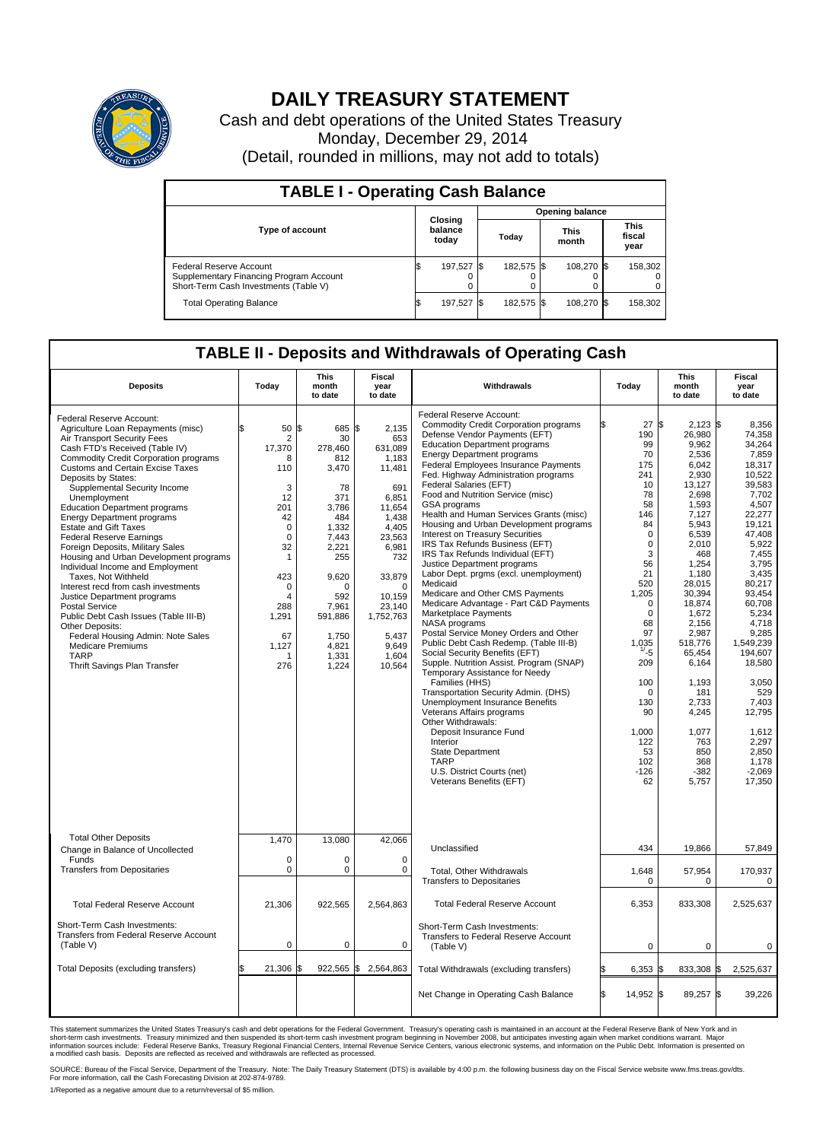

# **DAILY TREASURY STATEMENT**

Cash and debt operations of the United States Treasury Monday, December 29, 2014 (Detail, rounded in millions, may not add to totals)

| <b>TABLE I - Operating Cash Balance</b>                                                                     |    |                             |       |            |                      |            |                               |         |  |  |  |  |
|-------------------------------------------------------------------------------------------------------------|----|-----------------------------|-------|------------|----------------------|------------|-------------------------------|---------|--|--|--|--|
| <b>Opening balance</b>                                                                                      |    |                             |       |            |                      |            |                               |         |  |  |  |  |
| <b>Type of account</b>                                                                                      |    | Closing<br>balance<br>today | Today |            | <b>This</b><br>month |            | <b>This</b><br>fiscal<br>year |         |  |  |  |  |
| Federal Reserve Account<br>Supplementary Financing Program Account<br>Short-Term Cash Investments (Table V) |    | 197,527                     |       | 182.575 \$ |                      | 108.270 \$ |                               | 158,302 |  |  |  |  |
| <b>Total Operating Balance</b>                                                                              | ß. | 197,527                     |       | 182,575 \$ |                      | 108,270 \$ |                               | 158,302 |  |  |  |  |

## **TABLE II - Deposits and Withdrawals of Operating Cash**

| <b>Deposits</b>                                                                                                                                                                                                                                                                                                                                                                                                                                                                                                                                                                                                                                                                                                                                                                                                                                                | Today                                                                                                                                                                                     | <b>This</b><br>month<br>to date                                                                                                                                                            | <b>Fiscal</b><br>year<br>to date                                                                                                                                                                                | Withdrawals                                                                                                                                                                                                                                                                                                                                                                                                                                                                                                                                                                                                                                                                                                                                                                                                                                                                                                                                                                                                                                                                                                                                                                                                                                                              | Today                                                                                                                                                                                                                                                                                        | <b>This</b><br>month<br>to date                                                                                                                                                                                                                                                                                              | <b>Fiscal</b><br>year<br>to date                                                                                                                                                                                                                                                                                                                    |
|----------------------------------------------------------------------------------------------------------------------------------------------------------------------------------------------------------------------------------------------------------------------------------------------------------------------------------------------------------------------------------------------------------------------------------------------------------------------------------------------------------------------------------------------------------------------------------------------------------------------------------------------------------------------------------------------------------------------------------------------------------------------------------------------------------------------------------------------------------------|-------------------------------------------------------------------------------------------------------------------------------------------------------------------------------------------|--------------------------------------------------------------------------------------------------------------------------------------------------------------------------------------------|-----------------------------------------------------------------------------------------------------------------------------------------------------------------------------------------------------------------|--------------------------------------------------------------------------------------------------------------------------------------------------------------------------------------------------------------------------------------------------------------------------------------------------------------------------------------------------------------------------------------------------------------------------------------------------------------------------------------------------------------------------------------------------------------------------------------------------------------------------------------------------------------------------------------------------------------------------------------------------------------------------------------------------------------------------------------------------------------------------------------------------------------------------------------------------------------------------------------------------------------------------------------------------------------------------------------------------------------------------------------------------------------------------------------------------------------------------------------------------------------------------|----------------------------------------------------------------------------------------------------------------------------------------------------------------------------------------------------------------------------------------------------------------------------------------------|------------------------------------------------------------------------------------------------------------------------------------------------------------------------------------------------------------------------------------------------------------------------------------------------------------------------------|-----------------------------------------------------------------------------------------------------------------------------------------------------------------------------------------------------------------------------------------------------------------------------------------------------------------------------------------------------|
| Federal Reserve Account:<br>Agriculture Loan Repayments (misc)<br>Air Transport Security Fees<br>Cash FTD's Received (Table IV)<br><b>Commodity Credit Corporation programs</b><br><b>Customs and Certain Excise Taxes</b><br>Deposits by States:<br>Supplemental Security Income<br>Unemployment<br><b>Education Department programs</b><br><b>Energy Department programs</b><br><b>Estate and Gift Taxes</b><br><b>Federal Reserve Earnings</b><br>Foreign Deposits, Military Sales<br>Housing and Urban Development programs<br>Individual Income and Employment<br>Taxes, Not Withheld<br>Interest recd from cash investments<br>Justice Department programs<br><b>Postal Service</b><br>Public Debt Cash Issues (Table III-B)<br>Other Deposits:<br>Federal Housing Admin: Note Sales<br>Medicare Premiums<br><b>TARP</b><br>Thrift Savings Plan Transfer | \$<br>50<br>$\overline{2}$<br>17,370<br>8<br>110<br>3<br>12<br>201<br>42<br>$\Omega$<br>$\Omega$<br>32<br>1<br>423<br>$\mathbf 0$<br>$\overline{4}$<br>288<br>1,291<br>67<br>1,127<br>276 | 685 \$<br>l\$<br>30<br>278,460<br>812<br>3,470<br>78<br>371<br>3,786<br>484<br>1,332<br>7.443<br>2,221<br>255<br>9,620<br>O<br>592<br>7,961<br>591,886<br>1,750<br>4,821<br>1,331<br>1,224 | 2,135<br>653<br>631,089<br>1,183<br>11,481<br>691<br>6,851<br>11,654<br>1,438<br>4,405<br>23.563<br>6,981<br>732<br>33,879<br>$\mathbf 0$<br>10.159<br>23,140<br>1,752,763<br>5,437<br>9,649<br>1,604<br>10,564 | Federal Reserve Account:<br><b>Commodity Credit Corporation programs</b><br>Defense Vendor Payments (EFT)<br><b>Education Department programs</b><br><b>Energy Department programs</b><br>Federal Employees Insurance Payments<br>Fed. Highway Administration programs<br>Federal Salaries (EFT)<br>Food and Nutrition Service (misc)<br>GSA programs<br>Health and Human Services Grants (misc)<br>Housing and Urban Development programs<br>Interest on Treasury Securities<br>IRS Tax Refunds Business (EFT)<br>IRS Tax Refunds Individual (EFT)<br>Justice Department programs<br>Labor Dept. prgms (excl. unemployment)<br>Medicaid<br>Medicare and Other CMS Payments<br>Medicare Advantage - Part C&D Payments<br>Marketplace Payments<br><b>NASA</b> programs<br>Postal Service Money Orders and Other<br>Public Debt Cash Redemp. (Table III-B)<br>Social Security Benefits (EFT)<br>Supple. Nutrition Assist. Program (SNAP)<br>Temporary Assistance for Needy<br>Families (HHS)<br>Transportation Security Admin. (DHS)<br><b>Unemployment Insurance Benefits</b><br>Veterans Affairs programs<br>Other Withdrawals:<br>Deposit Insurance Fund<br>Interior<br><b>State Department</b><br><b>TARP</b><br>U.S. District Courts (net)<br>Veterans Benefits (EFT) | ۱Ŧ.<br>27<br>190<br>99<br>70<br>175<br>241<br>10<br>78<br>58<br>146<br>84<br>$\mathbf 0$<br>$\mathbf 0$<br>3<br>56<br>21<br>520<br>1,205<br>$\mathbf 0$<br>$\mathbf 0$<br>68<br>97<br>1,035<br>$1/-5$<br>209<br>100<br>$\mathbf 0$<br>130<br>90<br>1,000<br>122<br>53<br>102<br>$-126$<br>62 | \$<br>2,123<br>26,980<br>9,962<br>2.536<br>6,042<br>2,930<br>13,127<br>2,698<br>1,593<br>7,127<br>5,943<br>6,539<br>2.010<br>468<br>1,254<br>1,180<br>28,015<br>30,394<br>18,874<br>1,672<br>2,156<br>2,987<br>518,776<br>65,454<br>6,164<br>1,193<br>181<br>2,733<br>4,245<br>1,077<br>763<br>850<br>368<br>$-382$<br>5,757 | l\$<br>8.356<br>74,358<br>34,264<br>7.859<br>18,317<br>10.522<br>39.583<br>7,702<br>4,507<br>22,277<br>19,121<br>47,408<br>5.922<br>7,455<br>3.795<br>3,435<br>80,217<br>93,454<br>60.708<br>5,234<br>4,718<br>9,285<br>1.549.239<br>194,607<br>18,580<br>3,050<br>529<br>7.403<br>12,795<br>1,612<br>2,297<br>2,850<br>1.178<br>$-2,069$<br>17,350 |
| <b>Total Other Deposits</b><br>Change in Balance of Uncollected<br>Funds<br><b>Transfers from Depositaries</b>                                                                                                                                                                                                                                                                                                                                                                                                                                                                                                                                                                                                                                                                                                                                                 | 1,470<br>$\mathbf 0$<br>0                                                                                                                                                                 | 13,080<br>$\Omega$<br>0                                                                                                                                                                    | 42,066<br>$\Omega$<br>$\mathbf 0$                                                                                                                                                                               | Unclassified<br>Total, Other Withdrawals<br><b>Transfers to Depositaries</b>                                                                                                                                                                                                                                                                                                                                                                                                                                                                                                                                                                                                                                                                                                                                                                                                                                                                                                                                                                                                                                                                                                                                                                                             | 434<br>1,648<br>0                                                                                                                                                                                                                                                                            | 19,866<br>57,954<br>$\mathbf 0$                                                                                                                                                                                                                                                                                              | 57,849<br>170,937<br>$\mathbf 0$                                                                                                                                                                                                                                                                                                                    |
| <b>Total Federal Reserve Account</b>                                                                                                                                                                                                                                                                                                                                                                                                                                                                                                                                                                                                                                                                                                                                                                                                                           | 21,306                                                                                                                                                                                    | 922,565                                                                                                                                                                                    | 2,564,863                                                                                                                                                                                                       | <b>Total Federal Reserve Account</b>                                                                                                                                                                                                                                                                                                                                                                                                                                                                                                                                                                                                                                                                                                                                                                                                                                                                                                                                                                                                                                                                                                                                                                                                                                     | 6,353                                                                                                                                                                                                                                                                                        | 833,308                                                                                                                                                                                                                                                                                                                      | 2,525,637                                                                                                                                                                                                                                                                                                                                           |
| Short-Term Cash Investments:<br>Transfers from Federal Reserve Account<br>(Table V)                                                                                                                                                                                                                                                                                                                                                                                                                                                                                                                                                                                                                                                                                                                                                                            | 0                                                                                                                                                                                         | 0                                                                                                                                                                                          | 0                                                                                                                                                                                                               | Short-Term Cash Investments:<br>Transfers to Federal Reserve Account<br>(Table V)                                                                                                                                                                                                                                                                                                                                                                                                                                                                                                                                                                                                                                                                                                                                                                                                                                                                                                                                                                                                                                                                                                                                                                                        | 0                                                                                                                                                                                                                                                                                            | $\mathbf 0$                                                                                                                                                                                                                                                                                                                  | $\mathbf 0$                                                                                                                                                                                                                                                                                                                                         |
| Total Deposits (excluding transfers)                                                                                                                                                                                                                                                                                                                                                                                                                                                                                                                                                                                                                                                                                                                                                                                                                           | 21,306 \$<br>\$                                                                                                                                                                           |                                                                                                                                                                                            | 922,565 \$2,564,863                                                                                                                                                                                             | Total Withdrawals (excluding transfers)                                                                                                                                                                                                                                                                                                                                                                                                                                                                                                                                                                                                                                                                                                                                                                                                                                                                                                                                                                                                                                                                                                                                                                                                                                  | 6,353                                                                                                                                                                                                                                                                                        | 833,308<br>\$                                                                                                                                                                                                                                                                                                                | 2,525,637<br>l\$                                                                                                                                                                                                                                                                                                                                    |
|                                                                                                                                                                                                                                                                                                                                                                                                                                                                                                                                                                                                                                                                                                                                                                                                                                                                |                                                                                                                                                                                           |                                                                                                                                                                                            |                                                                                                                                                                                                                 | Net Change in Operating Cash Balance                                                                                                                                                                                                                                                                                                                                                                                                                                                                                                                                                                                                                                                                                                                                                                                                                                                                                                                                                                                                                                                                                                                                                                                                                                     | 14,952 \$<br>Ŝ.                                                                                                                                                                                                                                                                              | 89,257                                                                                                                                                                                                                                                                                                                       | 1\$<br>39,226                                                                                                                                                                                                                                                                                                                                       |

This statement summarizes the United States Treasury's cash and debt operations for the Federal Government. Treasury's operating cash is maintained in an account at the Federal Reserve Bank of New York and in<br>short-term ca

SOURCE: Bureau of the Fiscal Service, Department of the Treasury. Note: The Daily Treasury Statement (DTS) is available by 4:00 p.m. the following business day on the Fiscal Service website www.fms.treas.gov/dts.<br>For more

1/Reported as a negative amount due to a return/reversal of \$5 million.